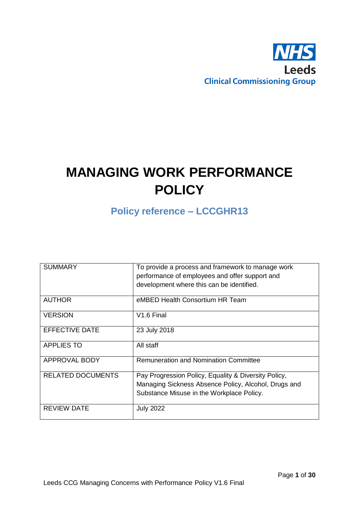

# **MANAGING WORK PERFORMANCE POLICY**

**Policy reference – LCCGHR13**

| <b>SUMMARY</b>           | To provide a process and framework to manage work<br>performance of employees and offer support and                                                       |
|--------------------------|-----------------------------------------------------------------------------------------------------------------------------------------------------------|
|                          | development where this can be identified.                                                                                                                 |
| <b>AUTHOR</b>            | eMBED Health Consortium HR Team                                                                                                                           |
| <b>VERSION</b>           | V <sub>1.6</sub> Final                                                                                                                                    |
| EFFECTIVE DATE           | 23 July 2018                                                                                                                                              |
| <b>APPLIES TO</b>        | All staff                                                                                                                                                 |
| <b>APPROVAL BODY</b>     | <b>Remuneration and Nomination Committee</b>                                                                                                              |
| <b>RELATED DOCUMENTS</b> | Pay Progression Policy, Equality & Diversity Policy,<br>Managing Sickness Absence Policy, Alcohol, Drugs and<br>Substance Misuse in the Workplace Policy. |
| <b>REVIEW DATE</b>       | <b>July 2022</b>                                                                                                                                          |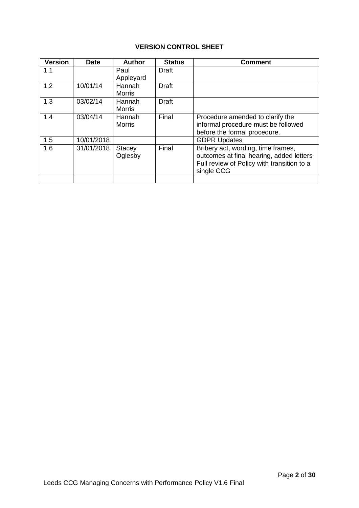# **VERSION CONTROL SHEET**

| <b>Version</b> | <b>Date</b> | <b>Author</b>            | <b>Status</b> | <b>Comment</b>                                                                                                                             |
|----------------|-------------|--------------------------|---------------|--------------------------------------------------------------------------------------------------------------------------------------------|
| 1.1            |             | Paul<br>Appleyard        | Draft         |                                                                                                                                            |
| 1.2            | 10/01/14    | Hannah<br><b>Morris</b>  | <b>Draft</b>  |                                                                                                                                            |
| 1.3            | 03/02/14    | Hannah<br><b>Morris</b>  | <b>Draft</b>  |                                                                                                                                            |
| 1.4            | 03/04/14    | Hannah<br><b>Morris</b>  | Final         | Procedure amended to clarify the<br>informal procedure must be followed<br>before the formal procedure.                                    |
| 1.5            | 10/01/2018  |                          |               | <b>GDPR Updates</b>                                                                                                                        |
| 1.6            | 31/01/2018  | <b>Stacey</b><br>Oglesby | Final         | Bribery act, wording, time frames,<br>outcomes at final hearing, added letters<br>Full review of Policy with transition to a<br>single CCG |
|                |             |                          |               |                                                                                                                                            |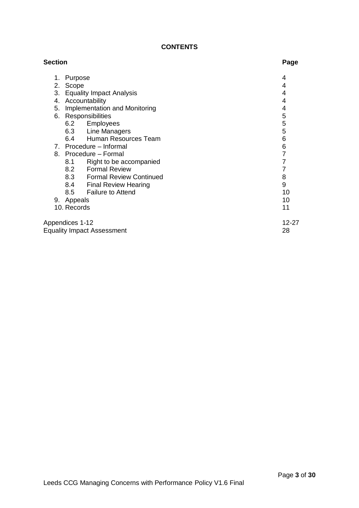## **CONTENTS**

| <b>Section</b> |                                   | Page  |
|----------------|-----------------------------------|-------|
| 1.             | Purpose                           | 4     |
| 2.             | Scope                             | 4     |
| 3.             | <b>Equality Impact Analysis</b>   | 4     |
| 4.             | Accountability                    | 4     |
| 5.             | Implementation and Monitoring     | 4     |
| 6.             | Responsibilities                  | 5     |
|                | 6.2 Employees                     | 5     |
|                | 6.3 Line Managers                 | 5     |
|                | 6.4 Human Resources Team          | 6     |
|                | 7. Procedure - Informal           | 6     |
|                | 8. Procedure - Formal             | 7     |
|                | Right to be accompanied<br>8.1    | 7     |
|                | 8.2 Formal Review                 |       |
|                | 8.3 Formal Review Continued       | 8     |
|                | 8.4 Final Review Hearing          | 9     |
|                | 8.5 Failure to Attend             | 10    |
|                | 9. Appeals                        | 10    |
|                | 10. Records                       | 11    |
|                | Appendices 1-12                   | 12-27 |
|                | <b>Equality Impact Assessment</b> | 28    |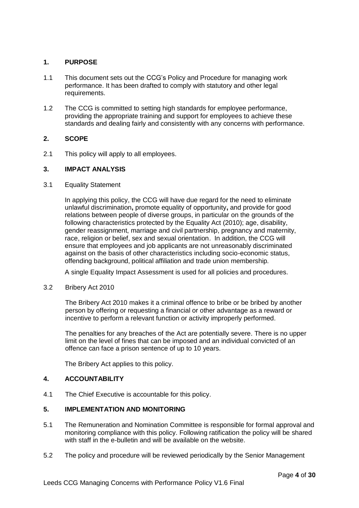## **1. PURPOSE**

- 1.1 This document sets out the CCG's Policy and Procedure for managing work performance. It has been drafted to comply with statutory and other legal requirements.
- 1.2 The CCG is committed to setting high standards for employee performance, providing the appropriate training and support for employees to achieve these standards and dealing fairly and consistently with any concerns with performance.

## **2. SCOPE**

2.1 This policy will apply to all employees.

## **3. IMPACT ANALYSIS**

## 3.1 Equality Statement

In applying this policy, the CCG will have due regard for the need to eliminate unlawful discrimination**,** promote equality of opportunity**,** and provide for good relations between people of diverse groups, in particular on the grounds of the following characteristics protected by the Equality Act (2010); age, disability, gender reassignment, marriage and civil partnership, pregnancy and maternity, race, religion or belief, sex and sexual orientation. In addition, the CCG will ensure that employees and job applicants are not unreasonably discriminated against on the basis of other characteristics including socio-economic status, offending background, political affiliation and trade union membership.

A single Equality Impact Assessment is used for all policies and procedures.

3.2 Bribery Act 2010

The Bribery Act 2010 makes it a criminal offence to bribe or be bribed by another person by offering or requesting a financial or other advantage as a reward or incentive to perform a relevant function or activity improperly performed.

The penalties for any breaches of the Act are potentially severe. There is no upper limit on the level of fines that can be imposed and an individual convicted of an offence can face a prison sentence of up to 10 years.

The Bribery Act applies to this policy.

## **4. ACCOUNTABILITY**

4.1 The Chief Executive is accountable for this policy.

## **5. IMPLEMENTATION AND MONITORING**

- 5.1 The Remuneration and Nomination Committee is responsible for formal approval and monitoring compliance with this policy. Following ratification the policy will be shared with staff in the e-bulletin and will be available on the website.
- 5.2 The policy and procedure will be reviewed periodically by the Senior Management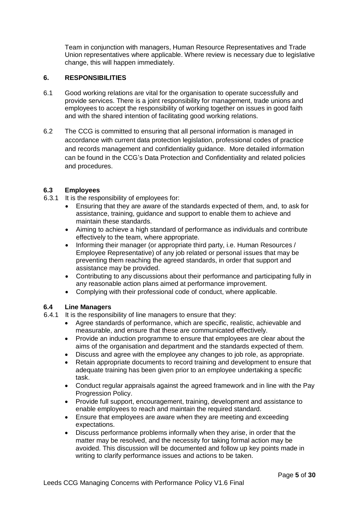Team in conjunction with managers, Human Resource Representatives and Trade Union representatives where applicable. Where review is necessary due to legislative change, this will happen immediately.

## **6. RESPONSIBILITIES**

- 6.1 Good working relations are vital for the organisation to operate successfully and provide services. There is a joint responsibility for management, trade unions and employees to accept the responsibility of working together on issues in good faith and with the shared intention of facilitating good working relations.
- 6.2 The CCG is committed to ensuring that all personal information is managed in accordance with current data protection legislation, professional codes of practice and records management and confidentiality guidance. More detailed information can be found in the CCG's Data Protection and Confidentiality and related policies and procedures.

#### **6.3 Employees**

- 6.3.1 It is the responsibility of employees for:
	- Ensuring that they are aware of the standards expected of them, and, to ask for assistance, training, guidance and support to enable them to achieve and maintain these standards.
	- Aiming to achieve a high standard of performance as individuals and contribute effectively to the team, where appropriate.
	- Informing their manager (or appropriate third party, i.e. Human Resources / Employee Representative) of any job related or personal issues that may be preventing them reaching the agreed standards, in order that support and assistance may be provided.
	- Contributing to any discussions about their performance and participating fully in any reasonable action plans aimed at performance improvement.
	- Complying with their professional code of conduct, where applicable.

## **6.4 Line Managers**

- 6.4.1 It is the responsibility of line managers to ensure that they:
	- Agree standards of performance, which are specific, realistic, achievable and measurable, and ensure that these are communicated effectively.
	- Provide an induction programme to ensure that employees are clear about the aims of the organisation and department and the standards expected of them.
	- Discuss and agree with the employee any changes to job role, as appropriate.
	- Retain appropriate documents to record training and development to ensure that adequate training has been given prior to an employee undertaking a specific task.
	- Conduct regular appraisals against the agreed framework and in line with the Pay Progression Policy.
	- Provide full support, encouragement, training, development and assistance to enable employees to reach and maintain the required standard.
	- Ensure that employees are aware when they are meeting and exceeding expectations.
	- Discuss performance problems informally when they arise, in order that the matter may be resolved, and the necessity for taking formal action may be avoided. This discussion will be documented and follow up key points made in writing to clarify performance issues and actions to be taken.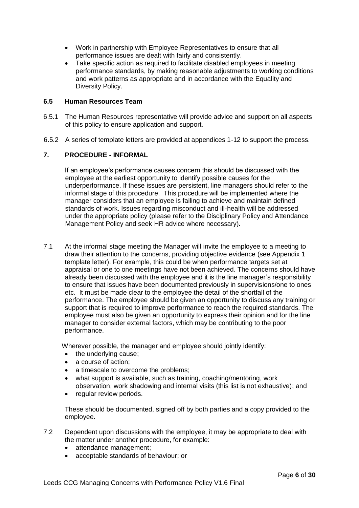- Work in partnership with Employee Representatives to ensure that all performance issues are dealt with fairly and consistently.
- Take specific action as required to facilitate disabled employees in meeting performance standards, by making reasonable adjustments to working conditions and work patterns as appropriate and in accordance with the Equality and Diversity Policy.

## **6.5 Human Resources Team**

- 6.5.1 The Human Resources representative will provide advice and support on all aspects of this policy to ensure application and support.
- 6.5.2 A series of template letters are provided at appendices 1-12 to support the process.

#### **7. PROCEDURE - INFORMAL**

If an employee's performance causes concern this should be discussed with the employee at the earliest opportunity to identify possible causes for the underperformance. If these issues are persistent, line managers should refer to the informal stage of this procedure. This procedure will be implemented where the manager considers that an employee is failing to achieve and maintain defined standards of work. Issues regarding misconduct and ill-health will be addressed under the appropriate policy (please refer to the Disciplinary Policy and Attendance Management Policy and seek HR advice where necessary).

7.1 At the informal stage meeting the Manager will invite the employee to a meeting to draw their attention to the concerns, providing objective evidence (see Appendix 1 template letter). For example, this could be when performance targets set at appraisal or one to one meetings have not been achieved. The concerns should have already been discussed with the employee and it is the line manager's responsibility to ensure that issues have been documented previously in supervisions/one to ones etc. It must be made clear to the employee the detail of the shortfall of the performance. The employee should be given an opportunity to discuss any training or support that is required to improve performance to reach the required standards. The employee must also be given an opportunity to express their opinion and for the line manager to consider external factors, which may be contributing to the poor performance.

Wherever possible, the manager and employee should jointly identify:

- the underlying cause:
- a course of action:
- a timescale to overcome the problems:
- what support is available, such as training, coaching/mentoring, work observation, work shadowing and internal visits (this list is not exhaustive); and
- regular review periods.

These should be documented, signed off by both parties and a copy provided to the employee.

- 7.2 Dependent upon discussions with the employee, it may be appropriate to deal with the matter under another procedure, for example:
	- attendance management;
	- acceptable standards of behaviour; or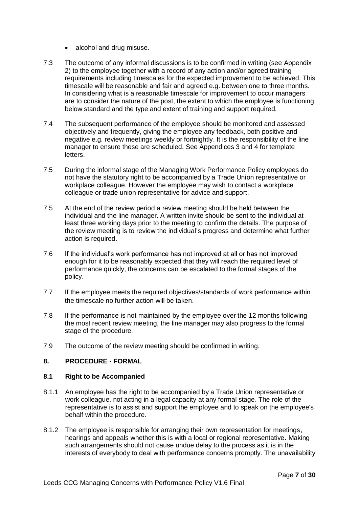- alcohol and drug misuse.
- 7.3 The outcome of any informal discussions is to be confirmed in writing (see Appendix 2) to the employee together with a record of any action and/or agreed training requirements including timescales for the expected improvement to be achieved. This timescale will be reasonable and fair and agreed e.g. between one to three months. In considering what is a reasonable timescale for improvement to occur managers are to consider the nature of the post, the extent to which the employee is functioning below standard and the type and extent of training and support required.
- 7.4 The subsequent performance of the employee should be monitored and assessed objectively and frequently, giving the employee any feedback, both positive and negative e.g. review meetings weekly or fortnightly. It is the responsibility of the line manager to ensure these are scheduled. See Appendices 3 and 4 for template letters.
- 7.5 During the informal stage of the Managing Work Performance Policy employees do not have the statutory right to be accompanied by a Trade Union representative or workplace colleague. However the employee may wish to contact a workplace colleague or trade union representative for advice and support.
- 7.5 At the end of the review period a review meeting should be held between the individual and the line manager. A written invite should be sent to the individual at least three working days prior to the meeting to confirm the details. The purpose of the review meeting is to review the individual's progress and determine what further action is required.
- 7.6 If the individual's work performance has not improved at all or has not improved enough for it to be reasonably expected that they will reach the required level of performance quickly, the concerns can be escalated to the formal stages of the policy.
- 7.7 If the employee meets the required objectives/standards of work performance within the timescale no further action will be taken.
- 7.8 If the performance is not maintained by the employee over the 12 months following the most recent review meeting, the line manager may also progress to the formal stage of the procedure.
- 7.9 The outcome of the review meeting should be confirmed in writing.

## **8. PROCEDURE - FORMAL**

#### **8.1 Right to be Accompanied**

- 8.1.1 An employee has the right to be accompanied by a Trade Union representative or work colleague, not acting in a legal capacity at any formal stage. The role of the representative is to assist and support the employee and to speak on the employee's behalf within the procedure.
- 8.1.2 The employee is responsible for arranging their own representation for meetings, hearings and appeals whether this is with a local or regional representative. Making such arrangements should not cause undue delay to the process as it is in the interests of everybody to deal with performance concerns promptly. The unavailability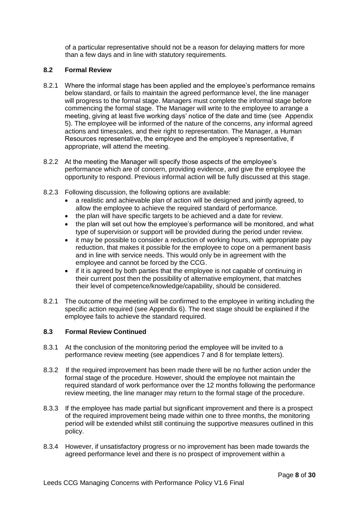of a particular representative should not be a reason for delaying matters for more than a few days and in line with statutory requirements.

## **8.2 Formal Review**

- 8.2.1 Where the informal stage has been applied and the employee's performance remains below standard, or fails to maintain the agreed performance level, the line manager will progress to the formal stage. Managers must complete the informal stage before commencing the formal stage. The Manager will write to the employee to arrange a meeting, giving at least five working days' notice of the date and time (see Appendix 5). The employee will be informed of the nature of the concerns, any informal agreed actions and timescales, and their right to representation. The Manager, a Human Resources representative, the employee and the employee's representative, if appropriate, will attend the meeting.
- 8.2.2 At the meeting the Manager will specify those aspects of the employee's performance which are of concern, providing evidence, and give the employee the opportunity to respond. Previous informal action will be fully discussed at this stage.
- 8.2.3 Following discussion, the following options are available:
	- a realistic and achievable plan of action will be designed and jointly agreed, to allow the employee to achieve the required standard of performance.
	- the plan will have specific targets to be achieved and a date for review.
	- the plan will set out how the employee's performance will be monitored, and what type of supervision or support will be provided during the period under review.
	- it may be possible to consider a reduction of working hours, with appropriate pay reduction, that makes it possible for the employee to cope on a permanent basis and in line with service needs. This would only be in agreement with the employee and cannot be forced by the CCG.
	- if it is agreed by both parties that the employee is not capable of continuing in their current post then the possibility of alternative employment, that matches their level of competence/knowledge/capability, should be considered.
- 8.2.1 The outcome of the meeting will be confirmed to the employee in writing including the specific action required (see Appendix 6). The next stage should be explained if the employee fails to achieve the standard required.

## **8.3 Formal Review Continued**

- 8.3.1 At the conclusion of the monitoring period the employee will be invited to a performance review meeting (see appendices 7 and 8 for template letters).
- 8.3.2 If the required improvement has been made there will be no further action under the formal stage of the procedure. However, should the employee not maintain the required standard of work performance over the 12 months following the performance review meeting, the line manager may return to the formal stage of the procedure.
- 8.3.3 If the employee has made partial but significant improvement and there is a prospect of the required improvement being made within one to three months, the monitoring period will be extended whilst still continuing the supportive measures outlined in this policy.
- 8.3.4 However, if unsatisfactory progress or no improvement has been made towards the agreed performance level and there is no prospect of improvement within a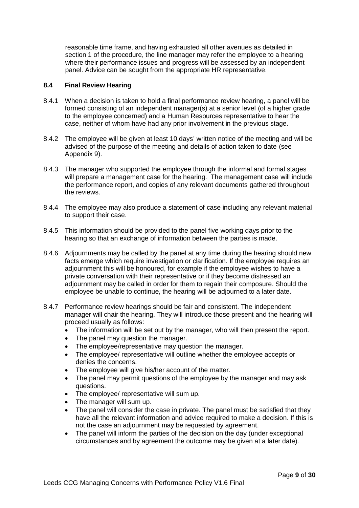reasonable time frame, and having exhausted all other avenues as detailed in section 1 of the procedure, the line manager may refer the employee to a hearing where their performance issues and progress will be assessed by an independent panel. Advice can be sought from the appropriate HR representative.

## **8.4 Final Review Hearing**

- 8.4.1 When a decision is taken to hold a final performance review hearing, a panel will be formed consisting of an independent manager(s) at a senior level (of a higher grade to the employee concerned) and a Human Resources representative to hear the case, neither of whom have had any prior involvement in the previous stage.
- 8.4.2 The employee will be given at least 10 days' written notice of the meeting and will be advised of the purpose of the meeting and details of action taken to date (see Appendix 9).
- 8.4.3 The manager who supported the employee through the informal and formal stages will prepare a management case for the hearing. The management case will include the performance report, and copies of any relevant documents gathered throughout the reviews.
- 8.4.4 The employee may also produce a statement of case including any relevant material to support their case.
- 8.4.5 This information should be provided to the panel five working days prior to the hearing so that an exchange of information between the parties is made.
- 8.4.6 Adjournments may be called by the panel at any time during the hearing should new facts emerge which require investigation or clarification. If the employee requires an adjournment this will be honoured, for example if the employee wishes to have a private conversation with their representative or if they become distressed an adjournment may be called in order for them to regain their composure. Should the employee be unable to continue, the hearing will be adjourned to a later date.
- 8.4.7 Performance review hearings should be fair and consistent. The independent manager will chair the hearing. They will introduce those present and the hearing will proceed usually as follows:
	- The information will be set out by the manager, who will then present the report.
	- The panel may question the manager.
	- The employee/representative may question the manager.
	- The employee/ representative will outline whether the employee accepts or denies the concerns.
	- The employee will give his/her account of the matter.
	- The panel may permit questions of the employee by the manager and may ask questions.
	- The employee/ representative will sum up.
	- The manager will sum up.
	- The panel will consider the case in private. The panel must be satisfied that they have all the relevant information and advice required to make a decision. If this is not the case an adjournment may be requested by agreement.
	- The panel will inform the parties of the decision on the day (under exceptional circumstances and by agreement the outcome may be given at a later date).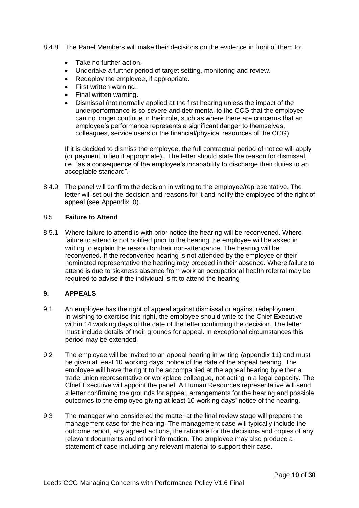- 8.4.8 The Panel Members will make their decisions on the evidence in front of them to:
	- Take no further action.
	- Undertake a further period of target setting, monitoring and review.
	- Redeploy the employee, if appropriate.
	- First written warning.
	- Final written warning.
	- Dismissal (not normally applied at the first hearing unless the impact of the underperformance is so severe and detrimental to the CCG that the employee can no longer continue in their role, such as where there are concerns that an employee's performance represents a significant danger to themselves, colleagues, service users or the financial/physical resources of the CCG)

If it is decided to dismiss the employee, the full contractual period of notice will apply (or payment in lieu if appropriate). The letter should state the reason for dismissal, i.e. "as a consequence of the employee's incapability to discharge their duties to an acceptable standard".

8.4.9 The panel will confirm the decision in writing to the employee/representative. The letter will set out the decision and reasons for it and notify the employee of the right of appeal (see Appendix10).

#### 8.5 **Failure to Attend**

8.5.1 Where failure to attend is with prior notice the hearing will be reconvened. Where failure to attend is not notified prior to the hearing the employee will be asked in writing to explain the reason for their non-attendance. The hearing will be reconvened. If the reconvened hearing is not attended by the employee or their nominated representative the hearing may proceed in their absence. Where failure to attend is due to sickness absence from work an occupational health referral may be required to advise if the individual is fit to attend the hearing

## **9. APPEALS**

- 9.1 An employee has the right of appeal against dismissal or against redeployment. In wishing to exercise this right, the employee should write to the Chief Executive within 14 working days of the date of the letter confirming the decision. The letter must include details of their grounds for appeal. In exceptional circumstances this period may be extended.
- 9.2 The employee will be invited to an appeal hearing in writing (appendix 11) and must be given at least 10 working days' notice of the date of the appeal hearing. The employee will have the right to be accompanied at the appeal hearing by either a trade union representative or workplace colleague, not acting in a legal capacity. The Chief Executive will appoint the panel. A Human Resources representative will send a letter confirming the grounds for appeal, arrangements for the hearing and possible outcomes to the employee giving at least 10 working days' notice of the hearing.
- 9.3 The manager who considered the matter at the final review stage will prepare the management case for the hearing. The management case will typically include the outcome report, any agreed actions, the rationale for the decisions and copies of any relevant documents and other information. The employee may also produce a statement of case including any relevant material to support their case.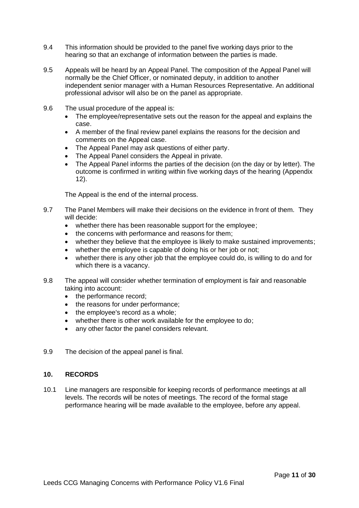- 9.4 This information should be provided to the panel five working days prior to the hearing so that an exchange of information between the parties is made.
- 9.5 Appeals will be heard by an Appeal Panel. The composition of the Appeal Panel will normally be the Chief Officer, or nominated deputy, in addition to another independent senior manager with a Human Resources Representative. An additional professional advisor will also be on the panel as appropriate.
- 9.6 The usual procedure of the appeal is:
	- The employee/representative sets out the reason for the appeal and explains the case.
	- A member of the final review panel explains the reasons for the decision and comments on the Appeal case.
	- The Appeal Panel may ask questions of either party.
	- The Appeal Panel considers the Appeal in private.
	- The Appeal Panel informs the parties of the decision (on the day or by letter). The outcome is confirmed in writing within five working days of the hearing (Appendix 12).

The Appeal is the end of the internal process.

- 9.7 The Panel Members will make their decisions on the evidence in front of them. They will decide:
	- whether there has been reasonable support for the employee;
	- the concerns with performance and reasons for them;
	- whether they believe that the employee is likely to make sustained improvements;
	- whether the employee is capable of doing his or her job or not;
	- whether there is any other job that the employee could do, is willing to do and for which there is a vacancy.
- 9.8 The appeal will consider whether termination of employment is fair and reasonable taking into account:
	- the performance record:
	- the reasons for under performance;
	- $\bullet$  the employee's record as a whole;
	- whether there is other work available for the employee to do;
	- any other factor the panel considers relevant.
- 9.9 The decision of the appeal panel is final.

## **10. RECORDS**

10.1 Line managers are responsible for keeping records of performance meetings at all levels. The records will be notes of meetings. The record of the formal stage performance hearing will be made available to the employee, before any appeal.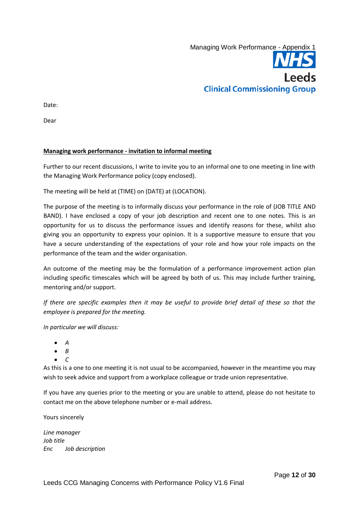

Date:

Dear

#### **Managing work performance - invitation to informal meeting**

Further to our recent discussions, I write to invite you to an informal one to one meeting in line with the Managing Work Performance policy (copy enclosed).

The meeting will be held at (TIME) on (DATE) at (LOCATION).

The purpose of the meeting is to informally discuss your performance in the role of (JOB TITLE AND BAND). I have enclosed a copy of your job description and recent one to one notes. This is an opportunity for us to discuss the performance issues and identify reasons for these, whilst also giving you an opportunity to express your opinion. It is a supportive measure to ensure that you have a secure understanding of the expectations of your role and how your role impacts on the performance of the team and the wider organisation.

An outcome of the meeting may be the formulation of a performance improvement action plan including specific timescales which will be agreed by both of us. This may include further training, mentoring and/or support.

*If there are specific examples then it may be useful to provide brief detail of these so that the employee is prepared for the meeting.*

*In particular we will discuss:*

- *A*
- $\bullet$   $B$
- $\bullet$   $C$

As this is a one to one meeting it is not usual to be accompanied, however in the meantime you may wish to seek advice and support from a workplace colleague or trade union representative.

If you have any queries prior to the meeting or you are unable to attend, please do not hesitate to contact me on the above telephone number or e-mail address.

Yours sincerely

*Line manager Job title Enc Job description*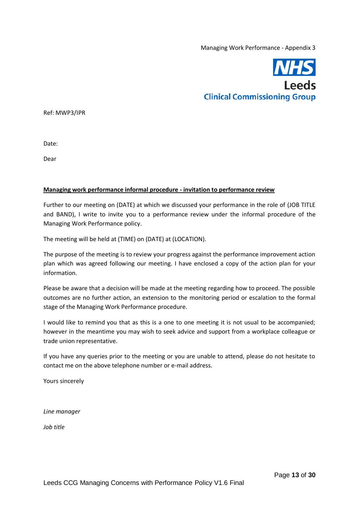

Ref: MWP3/IPR

Date:

Dear

#### **Managing work performance informal procedure - invitation to performance review**

Further to our meeting on (DATE) at which we discussed your performance in the role of (JOB TITLE and BAND), I write to invite you to a performance review under the informal procedure of the Managing Work Performance policy.

The meeting will be held at (TIME) on (DATE) at (LOCATION).

The purpose of the meeting is to review your progress against the performance improvement action plan which was agreed following our meeting. I have enclosed a copy of the action plan for your information.

Please be aware that a decision will be made at the meeting regarding how to proceed. The possible outcomes are no further action, an extension to the monitoring period or escalation to the formal stage of the Managing Work Performance procedure.

I would like to remind you that as this is a one to one meeting it is not usual to be accompanied; however in the meantime you may wish to seek advice and support from a workplace colleague or trade union representative.

If you have any queries prior to the meeting or you are unable to attend, please do not hesitate to contact me on the above telephone number or e-mail address.

Yours sincerely

*Line manager*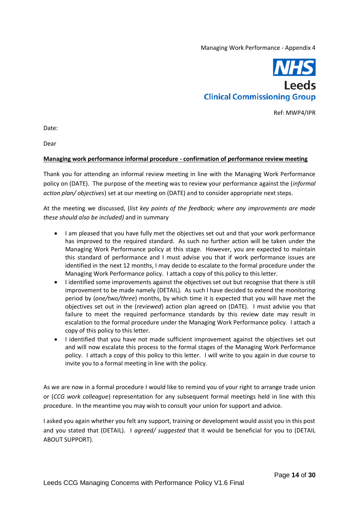

Ref: MWP4/IPR

Date:

Dear

#### **Managing work performance informal procedure - confirmation of performance review meeting**

Thank you for attending an informal review meeting in line with the Managing Work Performance policy on (DATE). The purpose of the meeting was to review your performance against the (*informal action plan/ objectives*) set at our meeting on (DATE) and to consider appropriate next steps.

At the meeting we discussed, (*list key points of the feedback; where any improvements are made these should also be included)* and in summary

- I am pleased that you have fully met the objectives set out and that your work performance has improved to the required standard. As such no further action will be taken under the Managing Work Performance policy at this stage. However, you are expected to maintain this standard of performance and I must advise you that if work performance issues are identified in the next 12 months, I may decide to escalate to the formal procedure under the Managing Work Performance policy. I attach a copy of this policy to this letter.
- I identified some improvements against the objectives set out but recognise that there is still improvement to be made namely (DETAIL). As such I have decided to extend the monitoring period by (*one/two/three*) months, by which time it is expected that you will have met the objectives set out in the (*reviewed*) action plan agreed on (DATE). I must advise you that failure to meet the required performance standards by this review date may result in escalation to the formal procedure under the Managing Work Performance policy. I attach a copy of this policy to this letter.
- I identified that you have not made sufficient improvement against the objectives set out and will now escalate this process to the formal stages of the Managing Work Performance policy. I attach a copy of this policy to this letter. I will write to you again in due course to invite you to a formal meeting in line with the policy.

As we are now in a formal procedure I would like to remind you of your right to arrange trade union or (*CCG work colleague*) representation for any subsequent formal meetings held in line with this procedure. In the meantime you may wish to consult your union for support and advice.

I asked you again whether you felt any support, training or development would assist you in this post and you stated that (DETAIL). I *agreed/ suggested* that it would be beneficial for you to (DETAIL ABOUT SUPPORT).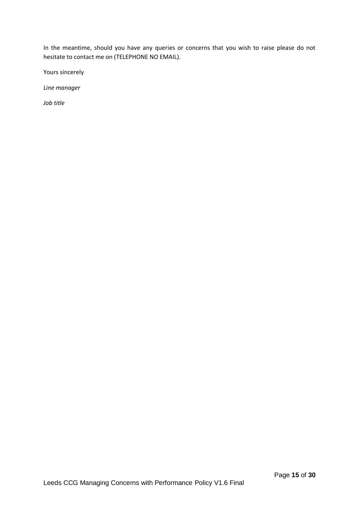In the meantime, should you have any queries or concerns that you wish to raise please do not hesitate to contact me on (TELEPHONE NO EMAIL).

Yours sincerely

*Line manager*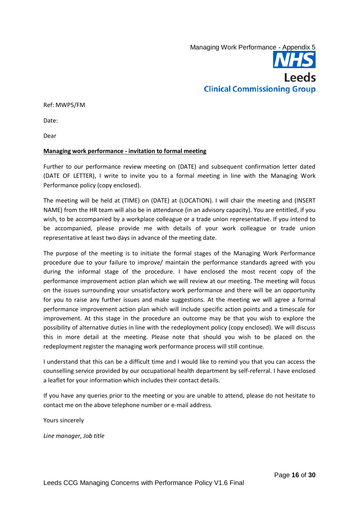

Ref: MWP5/FM

Date:

Dear

#### **Managing work performance - invitation to formal meeting**

Further to our performance review meeting on (DATE) and subsequent confirmation letter dated (DATE OF LETTER), I write to invite you to a formal meeting in line with the Managing Work Performance policy (copy enclosed).

The meeting will be held at (TIME) on (DATE) at (LOCATION). I will chair the meeting and (INSERT NAME) from the HR team will also be in attendance (in an advisory capacity). You are entitled, if you wish, to be accompanied by a workplace colleague or a trade union representative. If you intend to be accompanied, please provide me with details of your work colleague or trade union representative at least two days in advance of the meeting date.

The purpose of the meeting is to initiate the formal stages of the Managing Work Performance procedure due to your failure to improve/ maintain the performance standards agreed with you during the informal stage of the procedure. I have enclosed the most recent copy of the performance improvement action plan which we will review at our meeting. The meeting will focus on the issues surrounding your unsatisfactory work performance and there will be an opportunity for you to raise any further issues and make suggestions. At the meeting we will agree a formal performance improvement action plan which will include specific action points and a timescale for improvement. At this stage in the procedure an outcome may be that you wish to explore the possibility of alternative duties in line with the redeployment policy (copy enclosed). We will discuss this in more detail at the meeting. Please note that should you wish to be placed on the redeployment register the managing work performance process will still continue.

I understand that this can be a difficult time and I would like to remind you that you can access the counselling service provided by our occupational health department by self-referral. I have enclosed a leaflet for your information which includes their contact details.

If you have any queries prior to the meeting or you are unable to attend, please do not hesitate to contact me on the above telephone number or e-mail address.

Yours sincerely

*Line manager, Job title*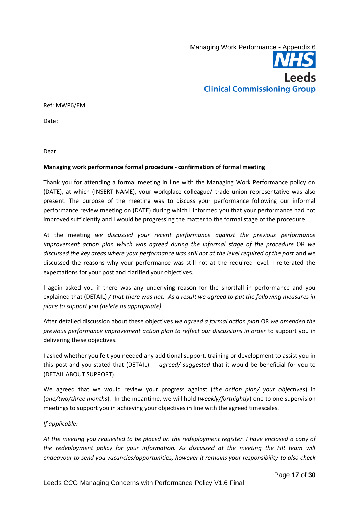

Ref: MWP6/FM

Date:

Dear

#### **Managing work performance formal procedure - confirmation of formal meeting**

Thank you for attending a formal meeting in line with the Managing Work Performance policy on (DATE), at which (INSERT NAME), your workplace colleague/ trade union representative was also present. The purpose of the meeting was to discuss your performance following our informal performance review meeting on (DATE) during which I informed you that your performance had not improved sufficiently and I would be progressing the matter to the formal stage of the procedure.

At the meeting *we discussed your recent performance against the previous performance improvement action plan which was agreed during the informal stage of the procedure OR we discussed the key areas where your performance was still not at the level required of the post* and we discussed the reasons why your performance was still not at the required level. I reiterated the expectations for your post and clarified your objectives.

I again asked you if there was any underlying reason for the shortfall in performance and you explained that (DETAIL) */ that there was not. As a result we agreed to put the following measures in place to support you (delete as appropriate).*

After detailed discussion about these objectives *we agreed a formal action plan* OR *we amended the previous performance improvement action plan to reflect our discussions in order* to support you in delivering these objectives.

I asked whether you felt you needed any additional support, training or development to assist you in this post and you stated that (DETAIL). I *agreed/ suggested* that it would be beneficial for you to (DETAIL ABOUT SUPPORT).

We agreed that we would review your progress against (*the action plan/ your objectives*) in (*one/two/three months*). In the meantime, we will hold (*weekly/fortnightly*) one to one supervision meetings to support you in achieving your objectives in line with the agreed timescales.

#### *If applicable:*

*At the meeting you requested to be placed on the redeployment register. I have enclosed a copy of*  the redeployment policy for your information. As discussed at the meeting the HR team will *endeavour to send you vacancies/opportunities, however it remains your responsibility to also check*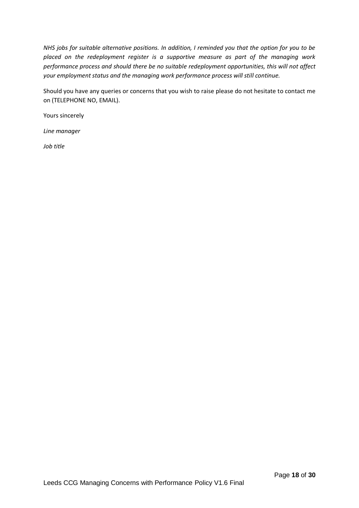*NHS jobs for suitable alternative positions. In addition, I reminded you that the option for you to be placed on the redeployment register is a supportive measure as part of the managing work performance process and should there be no suitable redeployment opportunities, this will not affect your employment status and the managing work performance process will still continue.*

Should you have any queries or concerns that you wish to raise please do not hesitate to contact me on (TELEPHONE NO, EMAIL).

Yours sincerely

*Line manager*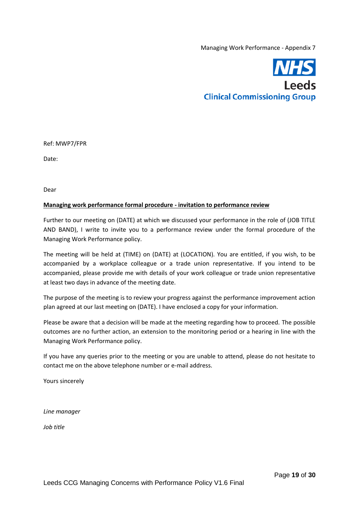

Ref: MWP7/FPR

Date:

Dear

#### **Managing work performance formal procedure - invitation to performance review**

Further to our meeting on (DATE) at which we discussed your performance in the role of (JOB TITLE AND BAND), I write to invite you to a performance review under the formal procedure of the Managing Work Performance policy.

The meeting will be held at (TIME) on (DATE) at (LOCATION). You are entitled, if you wish, to be accompanied by a workplace colleague or a trade union representative. If you intend to be accompanied, please provide me with details of your work colleague or trade union representative at least two days in advance of the meeting date.

The purpose of the meeting is to review your progress against the performance improvement action plan agreed at our last meeting on (DATE). I have enclosed a copy for your information.

Please be aware that a decision will be made at the meeting regarding how to proceed. The possible outcomes are no further action, an extension to the monitoring period or a hearing in line with the Managing Work Performance policy.

If you have any queries prior to the meeting or you are unable to attend, please do not hesitate to contact me on the above telephone number or e-mail address.

Yours sincerely

*Line manager*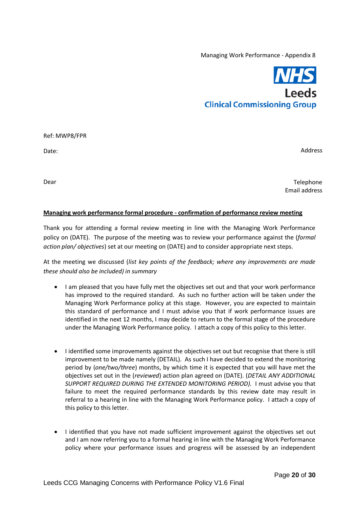

Ref: MWP8/FPR

Date:

Address

Dear

Telephone Email address

#### **Managing work performance formal procedure - confirmation of performance review meeting**

Thank you for attending a formal review meeting in line with the Managing Work Performance policy on (DATE). The purpose of the meeting was to review your performance against the (*formal action plan/ objectives*) set at our meeting on (DATE) and to consider appropriate next steps.

At the meeting we discussed (*list key points of the feedback; where any improvements are made these should also be included) in summary*

- I am pleased that you have fully met the objectives set out and that your work performance has improved to the required standard. As such no further action will be taken under the Managing Work Performance policy at this stage. However, you are expected to maintain this standard of performance and I must advise you that if work performance issues are identified in the next 12 months, I may decide to return to the formal stage of the procedure under the Managing Work Performance policy. I attach a copy of this policy to this letter.
- I identified some improvements against the objectives set out but recognise that there is still improvement to be made namely (DETAIL). As such I have decided to extend the monitoring period by (*one/two/three*) months, by which time it is expected that you will have met the objectives set out in the (*reviewed*) action plan agreed on (DATE). (*DETAIL ANY ADDITIONAL SUPPORT REQUIRED DURING THE EXTENDED MONITORING PERIOD).* I must advise you that failure to meet the required performance standards by this review date may result in referral to a hearing in line with the Managing Work Performance policy. I attach a copy of this policy to this letter.
- I identified that you have not made sufficient improvement against the objectives set out and I am now referring you to a formal hearing in line with the Managing Work Performance policy where your performance issues and progress will be assessed by an independent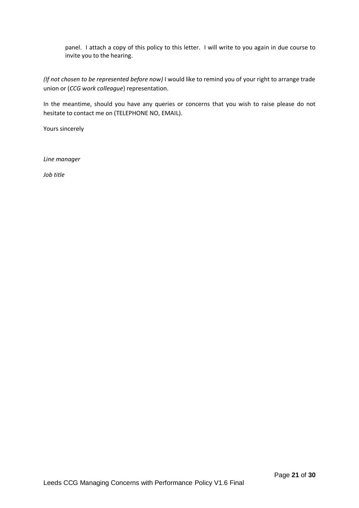panel. I attach a copy of this policy to this letter. I will write to you again in due course to invite you to the hearing.

*(If not chosen to be represented before now)* I would like to remind you of your right to arrange trade union or (*CCG work colleague*) representation.

In the meantime, should you have any queries or concerns that you wish to raise please do not hesitate to contact me on (TELEPHONE NO, EMAIL).

Yours sincerely

*Line manager*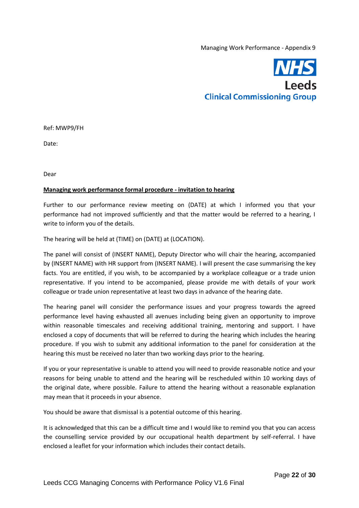

Ref: MWP9/FH

Date:

Dear

#### **Managing work performance formal procedure - invitation to hearing**

Further to our performance review meeting on (DATE) at which I informed you that your performance had not improved sufficiently and that the matter would be referred to a hearing, I write to inform you of the details.

The hearing will be held at (TIME) on (DATE) at (LOCATION).

The panel will consist of (INSERT NAME), Deputy Director who will chair the hearing, accompanied by (INSERT NAME) with HR support from (INSERT NAME). I will present the case summarising the key facts. You are entitled, if you wish, to be accompanied by a workplace colleague or a trade union representative. If you intend to be accompanied, please provide me with details of your work colleague or trade union representative at least two days in advance of the hearing date.

The hearing panel will consider the performance issues and your progress towards the agreed performance level having exhausted all avenues including being given an opportunity to improve within reasonable timescales and receiving additional training, mentoring and support. I have enclosed a copy of documents that will be referred to during the hearing which includes the hearing procedure. If you wish to submit any additional information to the panel for consideration at the hearing this must be received no later than two working days prior to the hearing.

If you or your representative is unable to attend you will need to provide reasonable notice and your reasons for being unable to attend and the hearing will be rescheduled within 10 working days of the original date, where possible. Failure to attend the hearing without a reasonable explanation may mean that it proceeds in your absence.

You should be aware that dismissal is a potential outcome of this hearing.

It is acknowledged that this can be a difficult time and I would like to remind you that you can access the counselling service provided by our occupational health department by self-referral. I have enclosed a leaflet for your information which includes their contact details.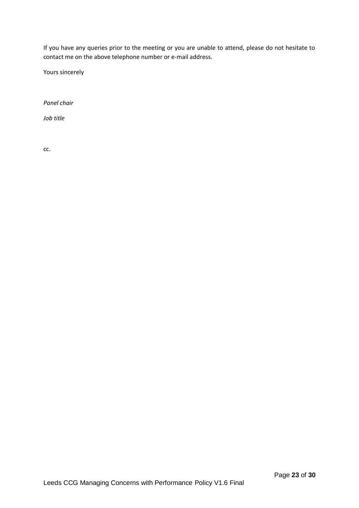If you have any queries prior to the meeting or you are unable to attend, please do not hesitate to contact me on the above telephone number or e-mail address.

Yours sincerely

*Panel chair*

*Job title*

cc.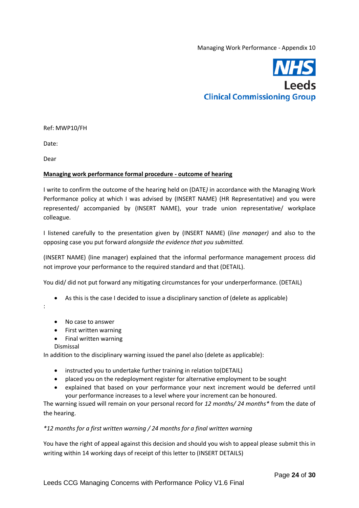

Ref: MWP10/FH

Date:

Dear

#### **Managing work performance formal procedure - outcome of hearing**

I write to confirm the outcome of the hearing held on (DATE*)* in accordance with the Managing Work Performance policy at which I was advised by (INSERT NAME) (HR Representative) and you were represented/ accompanied by (INSERT NAME), your trade union representative/ workplace colleague.

I listened carefully to the presentation given by (INSERT NAME) (*line manager)* and also to the opposing case you put forward *alongside the evidence that you submitted.*

(INSERT NAME) (line manager) explained that the informal performance management process did not improve your performance to the required standard and that (DETAIL).

You did/ did not put forward any mitigating circumstances for your underperformance. (DETAIL)

- As this is the case I decided to issue a disciplinary sanction of (delete as applicable)
- :
- No case to answer
- First written warning
- Final written warning
- Dismissal

In addition to the disciplinary warning issued the panel also (delete as applicable):

- instructed you to undertake further training in relation to(DETAIL)
- placed you on the redeployment register for alternative employment to be sought
- explained that based on your performance your next increment would be deferred until your performance increases to a level where your increment can be honoured.

The warning issued will remain on your personal record for *12 months/ 24 months\** from the date of the hearing.

## *\*12 months for a first written warning / 24 months for a final written warning*

You have the right of appeal against this decision and should you wish to appeal please submit this in writing within 14 working days of receipt of this letter to (INSERT DETAILS)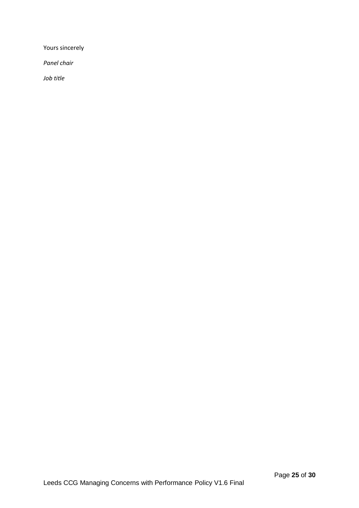Yours sincerely

*Panel chair*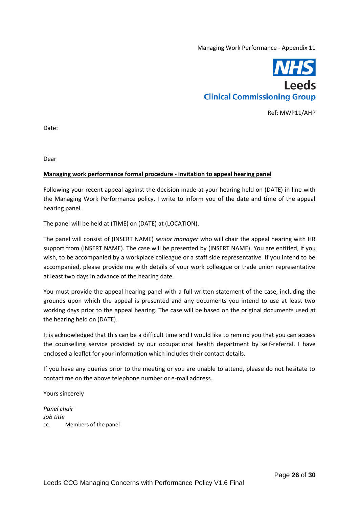

Ref: MWP11/AHP

Date:

Dear

#### **Managing work performance formal procedure - invitation to appeal hearing panel**

Following your recent appeal against the decision made at your hearing held on (DATE) in line with the Managing Work Performance policy, I write to inform you of the date and time of the appeal hearing panel.

The panel will be held at (TIME) on (DATE) at (LOCATION).

The panel will consist of (INSERT NAME) *senior manager* who will chair the appeal hearing with HR support from (INSERT NAME). The case will be presented by (INSERT NAME). You are entitled, if you wish, to be accompanied by a workplace colleague or a staff side representative. If you intend to be accompanied, please provide me with details of your work colleague or trade union representative at least two days in advance of the hearing date.

You must provide the appeal hearing panel with a full written statement of the case, including the grounds upon which the appeal is presented and any documents you intend to use at least two working days prior to the appeal hearing. The case will be based on the original documents used at the hearing held on (DATE).

It is acknowledged that this can be a difficult time and I would like to remind you that you can access the counselling service provided by our occupational health department by self-referral. I have enclosed a leaflet for your information which includes their contact details.

If you have any queries prior to the meeting or you are unable to attend, please do not hesitate to contact me on the above telephone number or e-mail address.

Yours sincerely

*Panel chair Job title* cc. Members of the panel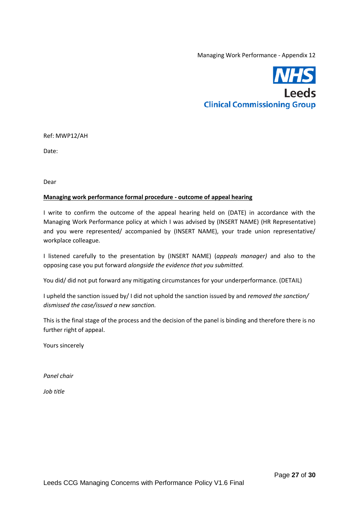

Ref: MWP12/AH

Date:

Dear

#### **Managing work performance formal procedure - outcome of appeal hearing**

I write to confirm the outcome of the appeal hearing held on (DATE) in accordance with the Managing Work Performance policy at which I was advised by (INSERT NAME) (HR Representative) and you were represented/ accompanied by (INSERT NAME), your trade union representative/ workplace colleague.

I listened carefully to the presentation by (INSERT NAME) (*appeals manager)* and also to the opposing case you put forward *alongside the evidence that you submitted.*

You did/ did not put forward any mitigating circumstances for your underperformance. (DETAIL)

I upheld the sanction issued by/ I did not uphold the sanction issued by and *removed the sanction/ dismissed the case/issued a new sanction.*

This is the final stage of the process and the decision of the panel is binding and therefore there is no further right of appeal.

Yours sincerely

*Panel chair*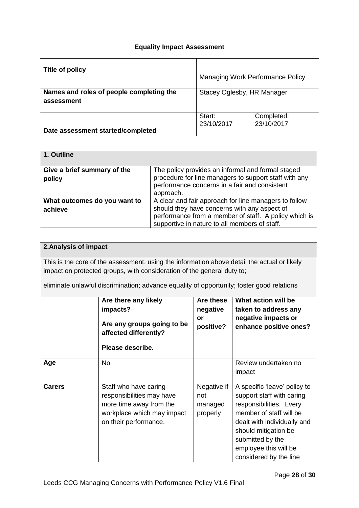## **Equality Impact Assessment**

| Title of policy                                        | Managing Work Performance Policy |                          |  |
|--------------------------------------------------------|----------------------------------|--------------------------|--|
| Names and roles of people completing the<br>assessment | Stacey Oglesby, HR Manager       |                          |  |
| Date assessment started/completed                      | Start:<br>23/10/2017             | Completed:<br>23/10/2017 |  |

| 1. Outline                            |                                                                                                                                                                          |
|---------------------------------------|--------------------------------------------------------------------------------------------------------------------------------------------------------------------------|
| Give a brief summary of the<br>policy | The policy provides an informal and formal staged<br>procedure for line managers to support staff with any<br>performance concerns in a fair and consistent<br>approach. |
| What outcomes do you want to          | A clear and fair approach for line managers to follow                                                                                                                    |
| achieve                               | should they have concerns with any aspect of<br>performance from a member of staff. A policy which is<br>supportive in nature to all members of staff.                   |

# **2.Analysis of impact**

This is the core of the assessment, using the information above detail the actual or likely impact on protected groups, with consideration of the general duty to;

eliminate unlawful discrimination; advance equality of opportunity; foster good relations

|               | Are there any likely<br>impacts?<br>Are any groups going to be<br>affected differently?<br>Please describe.                          | Are these<br>negative<br>or<br>positive?  | What action will be<br>taken to address any<br>negative impacts or<br>enhance positive ones?                                                                                                                                                  |
|---------------|--------------------------------------------------------------------------------------------------------------------------------------|-------------------------------------------|-----------------------------------------------------------------------------------------------------------------------------------------------------------------------------------------------------------------------------------------------|
| Age           | No.                                                                                                                                  |                                           | Review undertaken no<br>impact                                                                                                                                                                                                                |
| <b>Carers</b> | Staff who have caring<br>responsibilities may have<br>more time away from the<br>workplace which may impact<br>on their performance. | Negative if<br>not<br>managed<br>properly | A specific 'leave' policy to<br>support staff with caring<br>responsibilities. Every<br>member of staff will be<br>dealt with individually and<br>should mitigation be<br>submitted by the<br>employee this will be<br>considered by the line |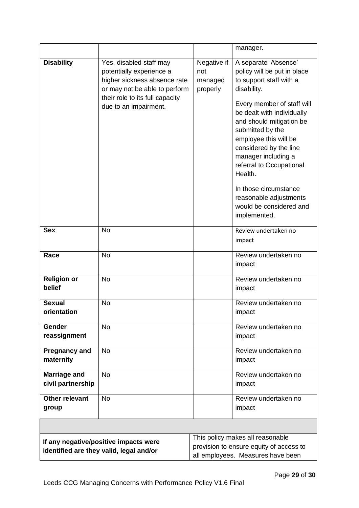|                                                                                  |                                                                                                                                                                                  |                                                                                                                  | manager.                                                                                                                                                                                                                                                                                                                                                                                                                 |
|----------------------------------------------------------------------------------|----------------------------------------------------------------------------------------------------------------------------------------------------------------------------------|------------------------------------------------------------------------------------------------------------------|--------------------------------------------------------------------------------------------------------------------------------------------------------------------------------------------------------------------------------------------------------------------------------------------------------------------------------------------------------------------------------------------------------------------------|
| <b>Disability</b>                                                                | Yes, disabled staff may<br>potentially experience a<br>higher sickness absence rate<br>or may not be able to perform<br>their role to its full capacity<br>due to an impairment. | Negative if<br>not<br>managed<br>properly                                                                        | A separate 'Absence'<br>policy will be put in place<br>to support staff with a<br>disability.<br>Every member of staff will<br>be dealt with individually<br>and should mitigation be<br>submitted by the<br>employee this will be<br>considered by the line<br>manager including a<br>referral to Occupational<br>Health.<br>In those circumstance<br>reasonable adjustments<br>would be considered and<br>implemented. |
| <b>Sex</b>                                                                       | <b>No</b>                                                                                                                                                                        |                                                                                                                  | Review undertaken no<br>impact                                                                                                                                                                                                                                                                                                                                                                                           |
| Race                                                                             | <b>No</b>                                                                                                                                                                        |                                                                                                                  | Review undertaken no<br>impact                                                                                                                                                                                                                                                                                                                                                                                           |
| <b>Religion or</b><br>belief                                                     | <b>No</b>                                                                                                                                                                        |                                                                                                                  | Review undertaken no<br>impact                                                                                                                                                                                                                                                                                                                                                                                           |
| <b>Sexual</b><br>orientation                                                     | <b>No</b>                                                                                                                                                                        | Review undertaken no<br>impact                                                                                   |                                                                                                                                                                                                                                                                                                                                                                                                                          |
| Gender<br>reassignment                                                           | <b>No</b>                                                                                                                                                                        |                                                                                                                  | Review undertaken no<br>impact                                                                                                                                                                                                                                                                                                                                                                                           |
| <b>Pregnancy and</b><br>maternity                                                | <b>No</b>                                                                                                                                                                        |                                                                                                                  | Review undertaken no<br>impact                                                                                                                                                                                                                                                                                                                                                                                           |
| <b>Marriage and</b><br>civil partnership                                         | <b>No</b>                                                                                                                                                                        |                                                                                                                  | Review undertaken no<br>impact                                                                                                                                                                                                                                                                                                                                                                                           |
| <b>Other relevant</b><br>group                                                   | <b>No</b>                                                                                                                                                                        |                                                                                                                  | Review undertaken no<br>impact                                                                                                                                                                                                                                                                                                                                                                                           |
|                                                                                  |                                                                                                                                                                                  |                                                                                                                  |                                                                                                                                                                                                                                                                                                                                                                                                                          |
| If any negative/positive impacts were<br>identified are they valid, legal and/or |                                                                                                                                                                                  | This policy makes all reasonable<br>provision to ensure equity of access to<br>all employees. Measures have been |                                                                                                                                                                                                                                                                                                                                                                                                                          |